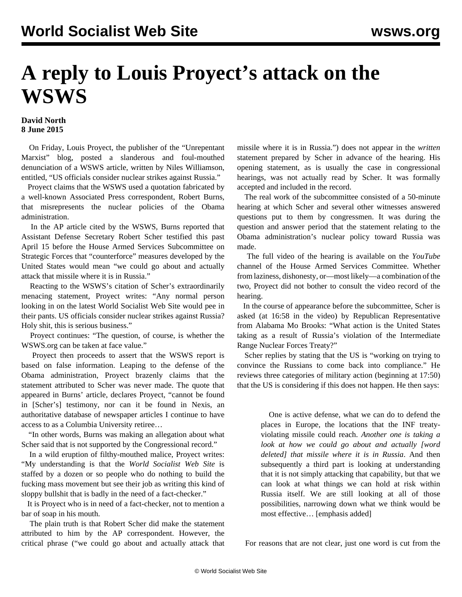## **A reply to Louis Proyect's attack on the WSWS**

## **David North 8 June 2015**

 On Friday, Louis Proyect, the publisher of the "Unrepentant Marxist" blog, posted a slanderous and foul-mouthed denunciation of a WSWS article, written by Niles Williamson, entitled, "[US officials consider nuclear strikes against Russia.](/en/articles/2015/06/05/ukra-j05.html)"

 Proyect claims that the WSWS used a quotation fabricated by a well-known Associated Press correspondent, Robert Burns, that misrepresents the nuclear policies of the Obama administration.

 In the AP article cited by the WSWS, Burns reported that Assistant Defense Secretary Robert Scher testified this past April 15 before the House Armed Services Subcommittee on Strategic Forces that "counterforce" measures developed by the United States would mean "we could go about and actually attack that missile where it is in Russia."

 Reacting to the WSWS's citation of Scher's extraordinarily menacing statement, Proyect writes: "Any normal person looking in on the latest World Socialist Web Site would pee in their pants. US officials consider nuclear strikes against Russia? Holy shit, this is serious business."

 Proyect continues: "The question, of course, is whether the WSWS.org can be taken at face value."

 Proyect then proceeds to assert that the WSWS report is based on false information. Leaping to the defense of the Obama administration, Proyect brazenly claims that the statement attributed to Scher was never made. The quote that appeared in Burns' article, declares Proyect, "cannot be found in [Scher's] testimony, nor can it be found in Nexis, an authoritative database of newspaper articles I continue to have access to as a Columbia University retiree…

 "In other words, Burns was making an allegation about what Scher said that is not supported by the Congressional record."

 In a wild eruption of filthy-mouthed malice, Proyect writes: "My understanding is that the *World Socialist Web Site* is staffed by a dozen or so people who do nothing to build the fucking mass movement but see their job as writing this kind of sloppy bullshit that is badly in the need of a fact-checker."

 It is Proyect who is in need of a fact-checker, not to mention a bar of soap in his mouth.

 The plain truth is that Robert Scher did make the statement attributed to him by the AP correspondent. However, the critical phrase ("we could go about and actually attack that missile where it is in Russia.") does not appear in the *written* statement prepared by Scher in advance of the hearing. His opening statement, as is usually the case in congressional hearings, was not actually read by Scher. It was formally accepted and included in the record.

 The real work of the subcommittee consisted of a 50-minute hearing at which Scher and several other witnesses answered questions put to them by congressmen. It was during the question and answer period that the statement relating to the Obama administration's nuclear policy toward Russia was made.

 The [full video](https://www.youtube.com/watch?v=m2DRWzmNVQg) of the hearing is available on the *YouTube* channel of the House Armed Services Committee. Whether from laziness, dishonesty, or—most likely—a combination of the two, Proyect did not bother to consult the video record of the hearing.

 In the course of appearance before the subcommittee, Scher is asked ([at 16:58 in the video\)](https://youtu.be/m2DRWzmNVQg?t=16m58s) by Republican Representative from Alabama Mo Brooks: "What action is the United States taking as a result of Russia's violation of the Intermediate Range Nuclear Forces Treaty?"

 Scher replies by stating that the US is "working on trying to convince the Russians to come back into compliance." He reviews three categories of military action [\(beginning at 17:50](https://youtu.be/m2DRWzmNVQg?t=17m50s)) that the US is considering if this does not happen. He then says:

> One is active defense, what we can do to defend the places in Europe, the locations that the INF treatyviolating missile could reach. *Another one is taking a look at how we could go about and actually [word deleted] that missile where it is in Russia*. And then subsequently a third part is looking at understanding that it is not simply attacking that capability, but that we can look at what things we can hold at risk within Russia itself. We are still looking at all of those possibilities, narrowing down what we think would be most effective… [emphasis added]

For reasons that are not clear, just one word is cut from the